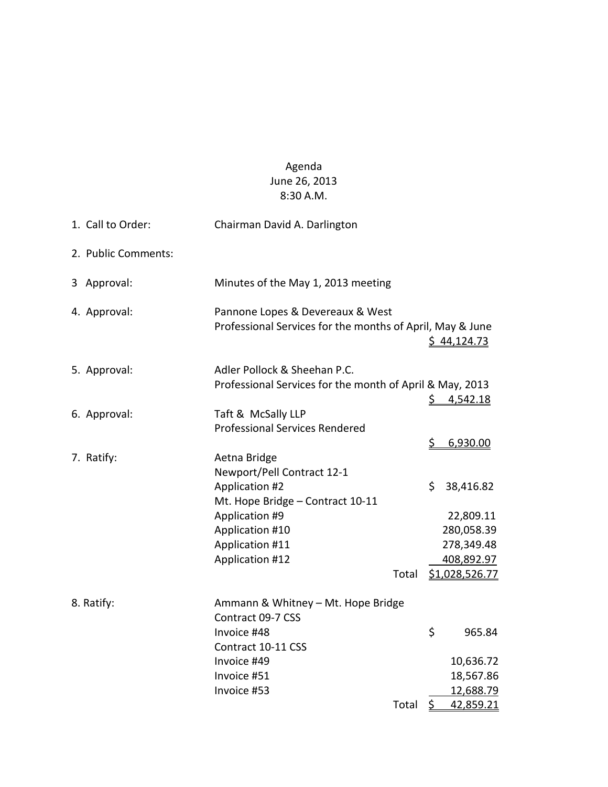## Agenda June 26, 2013 8:30 A.M.

|  | 1. Call to Order:   | Chairman David A. Darlington                                                                                |                 |                                                     |
|--|---------------------|-------------------------------------------------------------------------------------------------------------|-----------------|-----------------------------------------------------|
|  | 2. Public Comments: |                                                                                                             |                 |                                                     |
|  | 3 Approval:         | Minutes of the May 1, 2013 meeting                                                                          |                 |                                                     |
|  | 4. Approval:        | Pannone Lopes & Devereaux & West<br>Professional Services for the months of April, May & June               |                 | \$44,124.73                                         |
|  | 5. Approval:        | Adler Pollock & Sheehan P.C.<br>Professional Services for the month of April & May, 2013                    | \$.             | <u>4,542.18</u>                                     |
|  | 6. Approval:        | Taft & McSally LLP<br><b>Professional Services Rendered</b>                                                 |                 |                                                     |
|  | 7. Ratify:          | Aetna Bridge<br>Newport/Pell Contract 12-1<br>Application #2                                                | <u>\$</u><br>\$ | 6,930.00<br>38,416.82                               |
|  |                     | Mt. Hope Bridge - Contract 10-11<br>Application #9<br>Application #10<br>Application #11<br>Application #12 |                 | 22,809.11<br>280,058.39<br>278,349.48<br>408,892.97 |
|  |                     | Total                                                                                                       |                 | \$1,028,526.77                                      |
|  | 8. Ratify:          | Ammann & Whitney - Mt. Hope Bridge<br>Contract 09-7 CSS                                                     |                 |                                                     |
|  |                     | Invoice #48<br>Contract 10-11 CSS                                                                           | \$              | 965.84                                              |
|  |                     | Invoice #49                                                                                                 |                 | 10,636.72                                           |
|  |                     | Invoice #51                                                                                                 |                 | 18,567.86                                           |
|  |                     | Invoice #53                                                                                                 |                 | 12,688.79                                           |
|  |                     | Total                                                                                                       | \$              | 42,859.21                                           |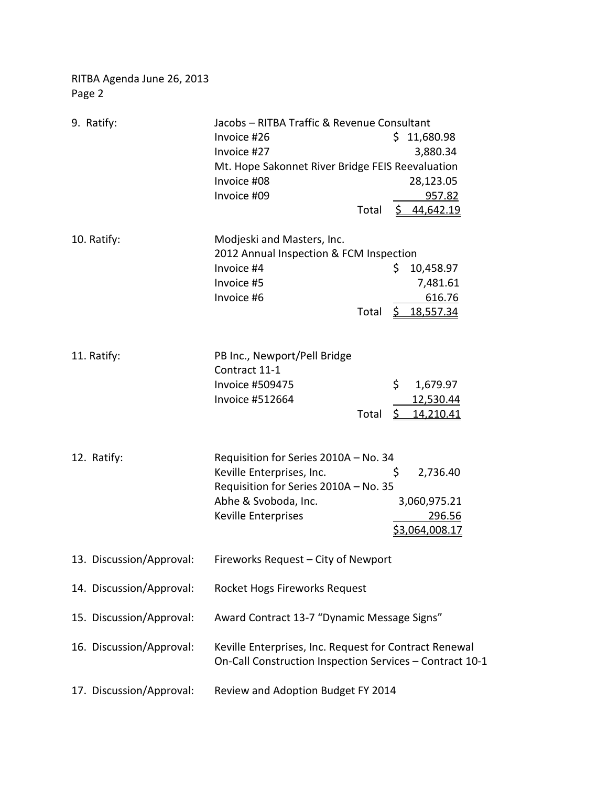RITBA Agenda June 26, 2013 Page 2

| 9. Ratify:               | Jacobs - RITBA Traffic & Revenue Consultant                                                                                                                                                                              |  |  |
|--------------------------|--------------------------------------------------------------------------------------------------------------------------------------------------------------------------------------------------------------------------|--|--|
|                          | Invoice #26<br>\$11,680.98                                                                                                                                                                                               |  |  |
|                          | Invoice #27<br>3,880.34                                                                                                                                                                                                  |  |  |
|                          | Mt. Hope Sakonnet River Bridge FEIS Reevaluation                                                                                                                                                                         |  |  |
|                          | Invoice #08<br>28,123.05                                                                                                                                                                                                 |  |  |
|                          | Invoice #09<br>957.82                                                                                                                                                                                                    |  |  |
|                          | \$44,642.19<br>Total                                                                                                                                                                                                     |  |  |
| 10. Ratify:              | Modjeski and Masters, Inc.<br>2012 Annual Inspection & FCM Inspection<br>Invoice #4<br>\$<br>10,458.97<br>Invoice #5<br>7,481.61<br>Invoice #6<br>616.76<br>Total<br>$\frac{5}{2}$ 18,557.34                             |  |  |
| 11. Ratify:              | PB Inc., Newport/Pell Bridge<br>Contract 11-1<br>\$<br><b>Invoice #509475</b><br>1,679.97<br>Invoice #512664<br>12,530.44<br>\$14,210.41<br>Total                                                                        |  |  |
| 12. Ratify:              | Requisition for Series 2010A - No. 34<br>Keville Enterprises, Inc.<br>\$<br>2,736.40<br>Requisition for Series 2010A - No. 35<br>Abhe & Svoboda, Inc.<br>3,060,975.21<br>Keville Enterprises<br>296.56<br>\$3,064,008.17 |  |  |
| 13. Discussion/Approval: | Fireworks Request - City of Newport                                                                                                                                                                                      |  |  |
| 14. Discussion/Approval: | Rocket Hogs Fireworks Request                                                                                                                                                                                            |  |  |
| 15. Discussion/Approval: | Award Contract 13-7 "Dynamic Message Signs"                                                                                                                                                                              |  |  |
| 16. Discussion/Approval: | Keville Enterprises, Inc. Request for Contract Renewal<br>On-Call Construction Inspection Services - Contract 10-1                                                                                                       |  |  |
| 17. Discussion/Approval: | Review and Adoption Budget FY 2014                                                                                                                                                                                       |  |  |